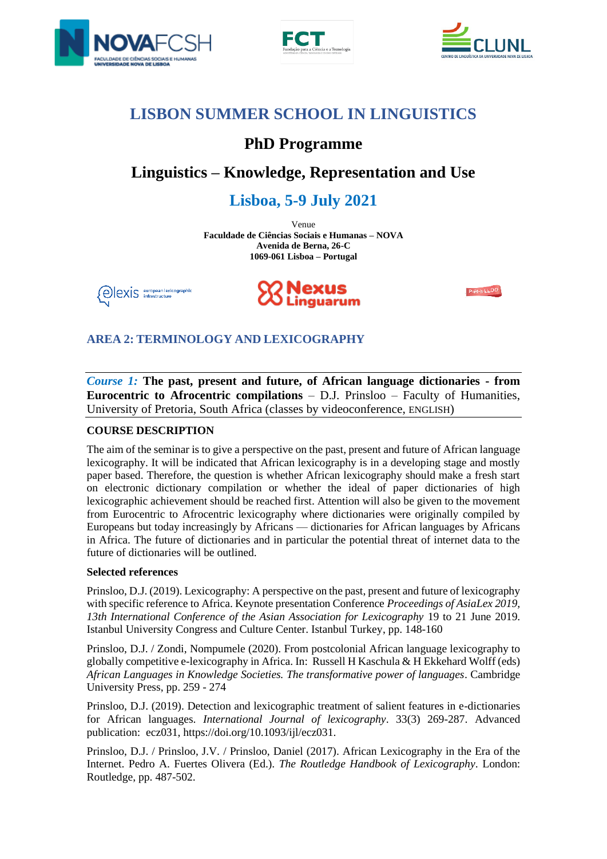





# **LISBON SUMMER SCHOOL IN LINGUISTICS**

# **PhD Programme**

# **Linguistics – Knowledge, Representation and Use**

# **Lisboa, 5-9 July 2021**

Venue **Faculdade de Ciências Sociais e Humanas – NOVA Avenida de Berna, 26-C 1069-061 Lisboa – Portugal**





Prêt-à-LLOD

## **AREA 2: TERMINOLOGY AND LEXICOGRAPHY**

*Course 1:* **The past, present and future, of African language dictionaries - from Eurocentric to Afrocentric compilations** *–* D.J. Prinsloo – Faculty of Humanities, University of Pretoria, South Africa (classes by videoconference, ENGLISH)

### **COURSE DESCRIPTION**

The aim of the seminar is to give a perspective on the past, present and future of African language lexicography. It will be indicated that African lexicography is in a developing stage and mostly paper based. Therefore, the question is whether African lexicography should make a fresh start on electronic dictionary compilation or whether the ideal of paper dictionaries of high lexicographic achievement should be reached first. Attention will also be given to the movement from Eurocentric to Afrocentric lexicography where dictionaries were originally compiled by Europeans but today increasingly by Africans — dictionaries for African languages by Africans in Africa. The future of dictionaries and in particular the potential threat of internet data to the future of dictionaries will be outlined.

### **Selected references**

Prinsloo, D.J. (2019). Lexicography: A perspective on the past, present and future of lexicography with specific reference to Africa. Keynote presentation Conference *Proceedings of AsiaLex 2019, 13th International Conference of the Asian Association for Lexicography* 19 to 21 June 2019. Istanbul University Congress and Culture Center. Istanbul Turkey, pp. 148-160

Prinsloo, D.J. / Zondi, Nompumele (2020). From postcolonial African language lexicography to globally competitive e-lexicography in Africa. In: Russell H Kaschula & H Ekkehard Wolff (eds) *African Languages in Knowledge Societies. The transformative power of languages*. Cambridge University Press, pp. 259 - 274

Prinsloo, D.J. (2019). Detection and lexicographic treatment of salient features in e-dictionaries for African languages. *International Journal of lexicography*. 33(3) 269-287. Advanced publication: ecz031, https://doi.org/10.1093/ijl/ecz031.

Prinsloo, D.J. / Prinsloo, J.V. / Prinsloo, Daniel (2017). African Lexicography in the Era of the Internet. Pedro A. Fuertes Olivera (Ed.). *The Routledge Handbook of Lexicography*. London: Routledge, pp. 487-502.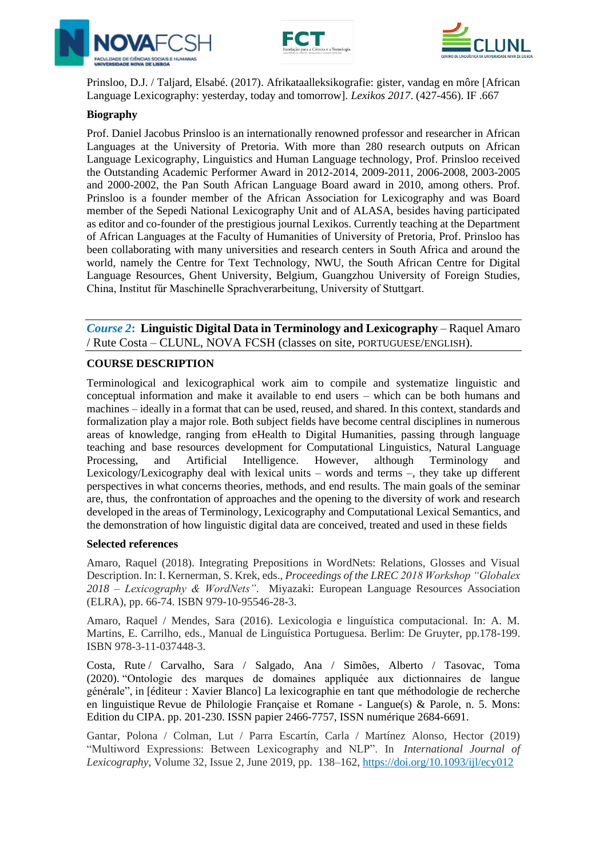





Prinsloo, D.J. / Taljard, Elsabé. (2017). Afrikataalleksikografie: gister, vandag en môre [African Language Lexicography: yesterday, today and tomorrow]. *Lexikos 2017*. (427-456). IF .667

### **Biography**

Prof. Daniel Jacobus Prinsloo is an internationally renowned professor and researcher in African Languages at the University of Pretoria. With more than 280 research outputs on African Language Lexicography, Linguistics and Human Language technology, Prof. Prinsloo received the Outstanding Academic Performer Award in 2012-2014, 2009-2011, 2006-2008, 2003-2005 and 2000-2002, the Pan South African Language Board award in 2010, among others. Prof. Prinsloo is a founder member of the African Association for Lexicography and was Board member of the Sepedi National Lexicography Unit and of ALASA, besides having participated as editor and co-founder of the prestigious journal Lexikos. Currently teaching at the Department of African Languages at the Faculty of Humanities of University of Pretoria, Prof. Prinsloo has been collaborating with many universities and research centers in South Africa and around the world, namely the Centre for Text Technology, NWU, the South African Centre for Digital Language Resources, Ghent University, Belgium, Guangzhou University of Foreign Studies, China, Institut fűr Maschinelle Sprachverarbeitung, University of Stuttgart.

*Course 2***: Linguistic Digital Data in Terminology and Lexicography** – Raquel Amaro / Rute Costa – CLUNL, NOVA FCSH (classes on site, PORTUGUESE/ENGLISH).

#### **COURSE DESCRIPTION**

Terminological and lexicographical work aim to compile and systematize linguistic and conceptual information and make it available to end users – which can be both humans and machines – ideally in a format that can be used, reused, and shared. In this context, standards and formalization play a major role. Both subject fields have become central disciplines in numerous areas of knowledge, ranging from eHealth to Digital Humanities, passing through language teaching and base resources development for Computational Linguistics, Natural Language Processing, and Artificial Intelligence. However, although Terminology and Lexicology/Lexicography deal with lexical units – words and terms –, they take up different perspectives in what concerns theories, methods, and end results. The main goals of the seminar are, thus, the confrontation of approaches and the opening to the diversity of work and research developed in the areas of Terminology, Lexicography and Computational Lexical Semantics, and the demonstration of how linguistic digital data are conceived, treated and used in these fields

#### **Selected references**

Amaro, Raquel (2018). Integrating Prepositions in WordNets: Relations, Glosses and Visual Description. In: I. Kernerman, S. Krek, eds., *Proceedings of the LREC 2018 Workshop "Globalex 2018 – Lexicography & WordNets"*. Miyazaki: European Language Resources Association (ELRA), pp. 66-74. ISBN 979-10-95546-28-3.

Amaro, Raquel / Mendes, Sara (2016). Lexicologia e linguística computacional. In: A. M. Martins, E. Carrilho, eds., Manual de Linguística Portuguesa. Berlim: De Gruyter, pp.178-199. ISBN 978-3-11-037448-3.

Costa, Rute / Carvalho, Sara / Salgado, Ana / Simões, Alberto / Tasovac, Toma (2020). "Ontologie des marques de domaines appliquée aux dictionnaires de langue générale", in [éditeur : Xavier Blanco] La lexicographie en tant que méthodologie de recherche en linguistique Revue de Philologie Française et Romane - Langue(s) & Parole, n. 5. Mons: Edition du CIPA. pp. 201-230. ISSN papier 2466-7757, ISSN numérique 2684-6691.

Gantar, Polona / Colman, Lut / Parra Escartín, Carla / Martínez Alonso, Hector (2019) "Multiword Expressions: Between Lexicography and NLP". In *International Journal of Lexicography*, Volume 32, Issue 2, June 2019, pp. 138–162, <https://doi.org/10.1093/ijl/ecy012>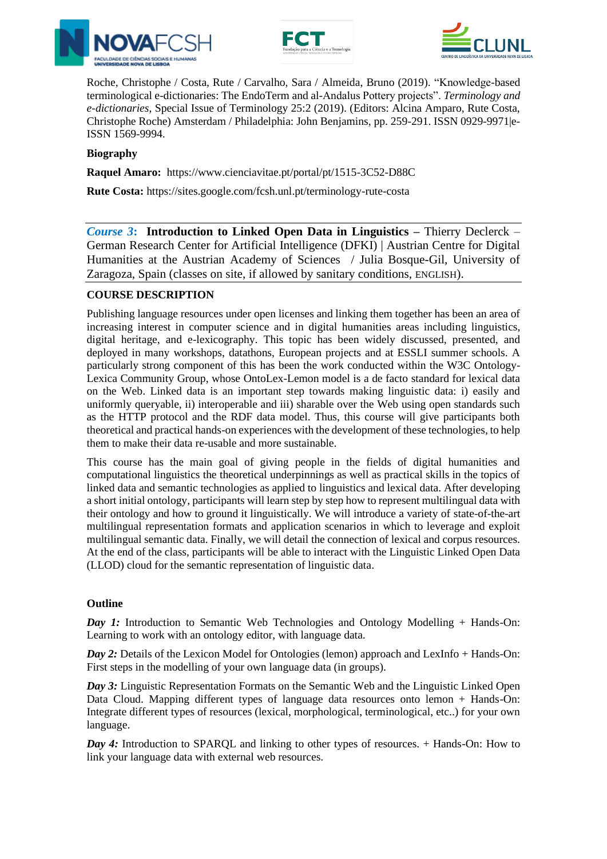





Roche, Christophe / Costa, Rute / Carvalho, Sara / Almeida, Bruno (2019). "Knowledge-based terminological e-dictionaries: The EndoTerm and al-Andalus Pottery projects". *[Terminology and](https://www.google.com/url?q=https%3A%2F%2Fwww.jbe-platform.com%2Fcontent%2Fjournals%2F10.1075%2Fterm.00038.roc&sa=D&sntz=1&usg=AFQjCNGD4YFTLoNl89B2E6pdJZUWKSImuA)  [e-dictionaries](https://www.google.com/url?q=https%3A%2F%2Fwww.jbe-platform.com%2Fcontent%2Fjournals%2F10.1075%2Fterm.00038.roc&sa=D&sntz=1&usg=AFQjCNGD4YFTLoNl89B2E6pdJZUWKSImuA)*, Special Issue of Terminology 25:2 (2019). (Editors: Alcina Amparo, Rute Costa, Christophe Roche) Amsterdam / Philadelphia: John Benjamins, pp. 259-291. ISSN 0929-9971|e-ISSN 1569-9994.

### **Biography**

**Raquel Amaro:** https://www.cienciavitae.pt/portal/pt/1515-3C52-D88C

**Rute Costa:** https://sites.google.com/fcsh.unl.pt/terminology-rute-costa

*Course 3***: Introduction to Linked Open Data in Linguistics –** Thierry Declerck – German Research Center for Artificial Intelligence (DFKI) | Austrian Centre for Digital Humanities at the Austrian Academy of Sciences / Julia Bosque-Gil, University of Zaragoza, Spain (classes on site, if allowed by sanitary conditions, ENGLISH).

#### **COURSE DESCRIPTION**

Publishing language resources under open licenses and linking them together has been an area of increasing interest in computer science and in digital humanities areas including linguistics, digital heritage, and e-lexicography. This topic has been widely discussed, presented, and deployed in many workshops, datathons, European projects and at ESSLI summer schools. A particularly strong component of this has been the work conducted within the W3C Ontology-Lexica Community Group, whose OntoLex-Lemon model is a de facto standard for lexical data on the Web. Linked data is an important step towards making linguistic data: i) easily and uniformly queryable, ii) interoperable and iii) sharable over the Web using open standards such as the HTTP protocol and the RDF data model. Thus, this course will give participants both theoretical and practical hands-on experiences with the development of these technologies, to help them to make their data re-usable and more sustainable.

This course has the main goal of giving people in the fields of digital humanities and computational linguistics the theoretical underpinnings as well as practical skills in the topics of linked data and semantic technologies as applied to linguistics and lexical data. After developing a short initial ontology, participants will learn step by step how to represent multilingual data with their ontology and how to ground it linguistically. We will introduce a variety of state-of-the-art multilingual representation formats and application scenarios in which to leverage and exploit multilingual semantic data. Finally, we will detail the connection of lexical and corpus resources. At the end of the class, participants will be able to interact with the Linguistic Linked Open Data (LLOD) cloud for the semantic representation of linguistic data.

#### **Outline**

*Day 1:* Introduction to Semantic Web Technologies and Ontology Modelling + Hands-On: Learning to work with an ontology editor, with language data.

*Day 2:* Details of the Lexicon Model for Ontologies (lemon) approach and LexInfo + Hands-On: First steps in the modelling of your own language data (in groups).

*Day 3:* Linguistic Representation Formats on the Semantic Web and the Linguistic Linked Open Data Cloud. Mapping different types of language data resources onto lemon + Hands-On: Integrate different types of resources (lexical, morphological, terminological, etc..) for your own language.

*Day 4:* Introduction to SPARQL and linking to other types of resources. + Hands-On: How to link your language data with external web resources.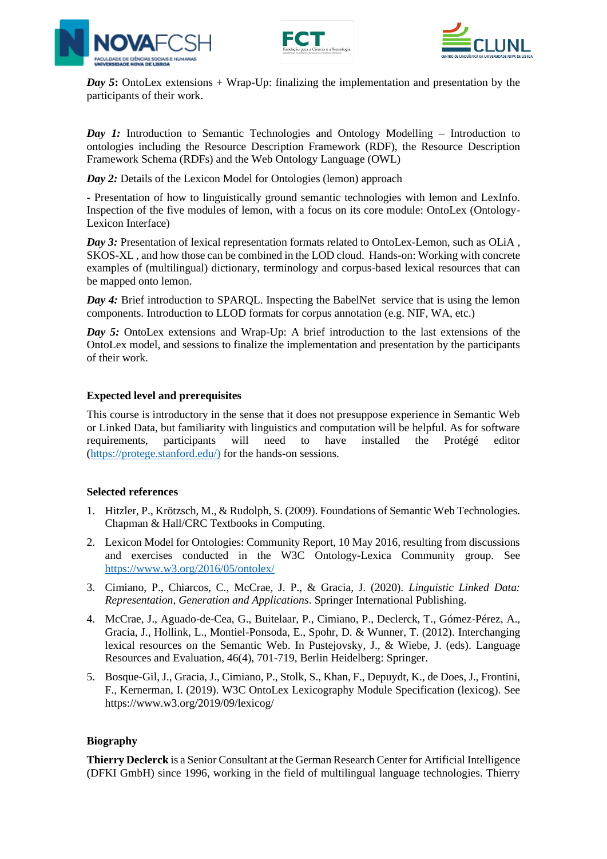





*Day 5*: OntoLex extensions + Wrap-Up: finalizing the implementation and presentation by the participants of their work.

*Day 1:* Introduction to Semantic Technologies and Ontology Modelling – Introduction to ontologies including the Resource Description Framework (RDF), the Resource Description Framework Schema (RDFs) and the Web Ontology Language (OWL)

*Day 2:* Details of the Lexicon Model for Ontologies (lemon) approach

- Presentation of how to linguistically ground semantic technologies with lemon and LexInfo. Inspection of the five modules of lemon, with a focus on its core module: OntoLex (Ontology-Lexicon Interface)

*Day 3:* Presentation of lexical representation formats related to OntoLex-Lemon, such as OLiA , SKOS-XL , and how those can be combined in the LOD cloud. Hands-on: Working with concrete examples of (multilingual) dictionary, terminology and corpus-based lexical resources that can be mapped onto lemon.

*Day 4:* Brief introduction to SPAROL. Inspecting the BabelNet service that is using the lemon components. Introduction to LLOD formats for corpus annotation (e.g. NIF, WA, etc.)

*Day 5:* OntoLex extensions and Wrap-Up: A brief introduction to the last extensions of the OntoLex model, and sessions to finalize the implementation and presentation by the participants of their work.

#### **Expected level and prerequisites**

This course is introductory in the sense that it does not presuppose experience in Semantic Web or Linked Data, but familiarity with linguistics and computation will be helpful. As for software requirements, participants will need to have installed the Protégé editor [\(https://protege.stanford.edu/\)](https://protege.stanford.edu/)) for the hands-on sessions.

#### **Selected references**

- 1. Hitzler, P., Krötzsch, M., & Rudolph, S. (2009). Foundations of Semantic Web Technologies. Chapman & Hall/CRC Textbooks in Computing.
- 2. Lexicon Model for Ontologies: Community Report, 10 May 2016, resulting from discussions and exercises conducted in the W3C Ontology-Lexica Community group. See <https://www.w3.org/2016/05/ontolex/>
- 3. Cimiano, P., Chiarcos, C., McCrae, J. P., & Gracia, J. (2020). *Linguistic Linked Data: Representation, Generation and Applications*. Springer International Publishing.
- 4. McCrae, J., Aguado-de-Cea, G., Buitelaar, P., Cimiano, P., Declerck, T., Gómez-Pérez, A., Gracia, J., Hollink, L., Montiel-Ponsoda, E., Spohr, D. & Wunner, T. (2012). Interchanging lexical resources on the Semantic Web. In Pustejovsky, J., & Wiebe, J. (eds). Language Resources and Evaluation, 46(4), 701-719, Berlin Heidelberg: Springer.
- 5. Bosque-Gil, J., Gracia, J., Cimiano, P., Stolk, S., Khan, F., Depuydt, K., de Does, J., Frontini, F., Kernerman, I. (2019). W3C OntoLex Lexicography Module Specification (lexicog). See https://www.w3.org/2019/09/lexicog/

#### **Biography**

**Thierry Declerck** is a Senior Consultant at the German Research Center for Artificial Intelligence (DFKI GmbH) since 1996, working in the field of multilingual language technologies. Thierry